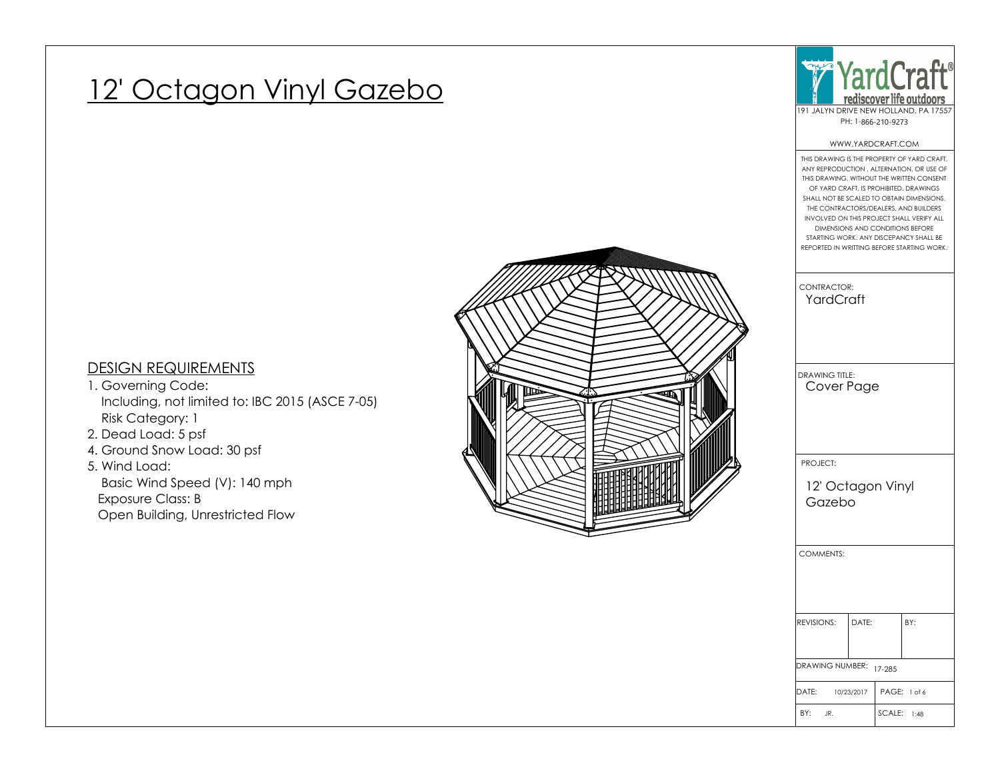# 12' Octagon Vinyl Gazebo



#### WWW.YARDCRAFT.COM

## BY: JR. |DATE: 10/23/2017 | PAGE: DRAWING NUMBER: 17-285 REVISIONS: DATE: BY: COMMENTS: PROJECT: DRAWING TITLE: CONTRACTOR: THIS DRAWING IS THE PROPERTY OF YARD CRAFT, ANY REPRODUCTION , ALTERNATION, OR USE OF THIS DRAWING, WITHOUT THE WRITTEN CONSENT OF YARD CRAFT, IS PROHIBITED. DRAWINGS SHALL NOT BE SCALED TO OBTAIN DIMENSIONS. THE CONTRACTORS/DEALERS, AND BUILDERS INVOLVED ON THIS PROJECT SHALL VERIFY ALL DIMENSIONS AND CONDITIONS BEFORE STARTING WORK. ANY DISCEPANCY SHALL BE REPORTED IN WRITTING BEFORE STARTING WORK. YardCraft SCALE: 1:48 Cover Page PAGE: 1 of 6 12' Octagon Vinyl Gazebo

### DESIGN REQUIREMENTS

- 1. Governing Code: Including, not limited to: IBC 2015 (ASCE 7-05) Risk Category: 1
- 2. Dead Load: 5 psf
- 4. Ground Snow Load: 30 psf

### 5. Wind Load: Basic Wind Speed (V): 140 mph Exposure Class: B Open Building, Unrestricted Flow

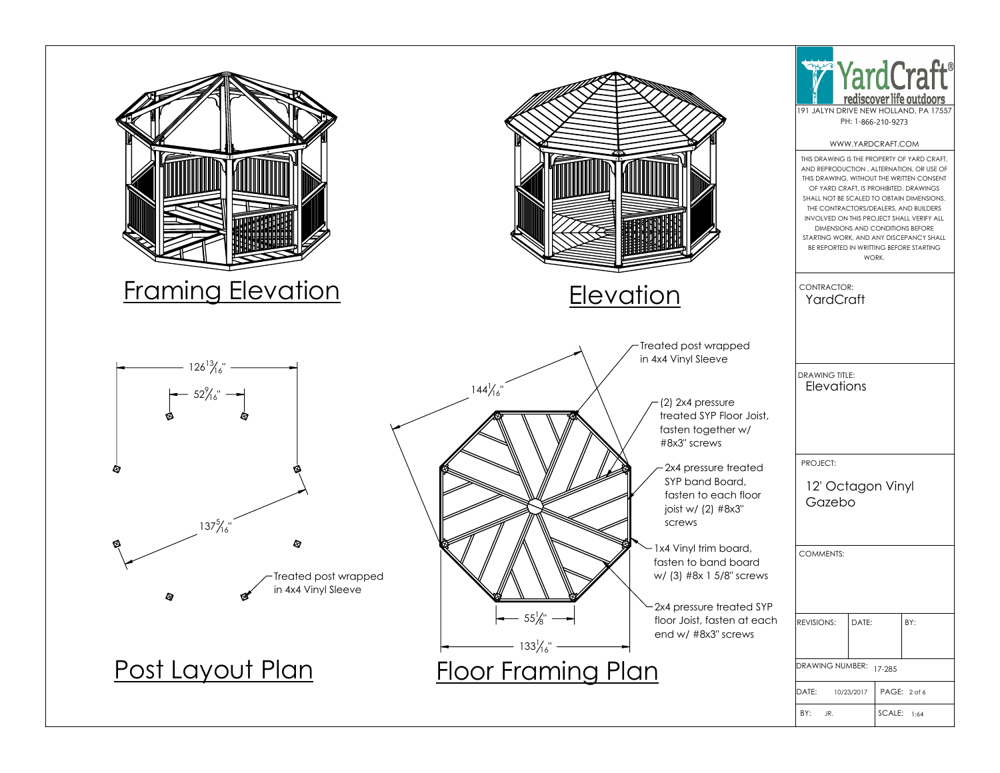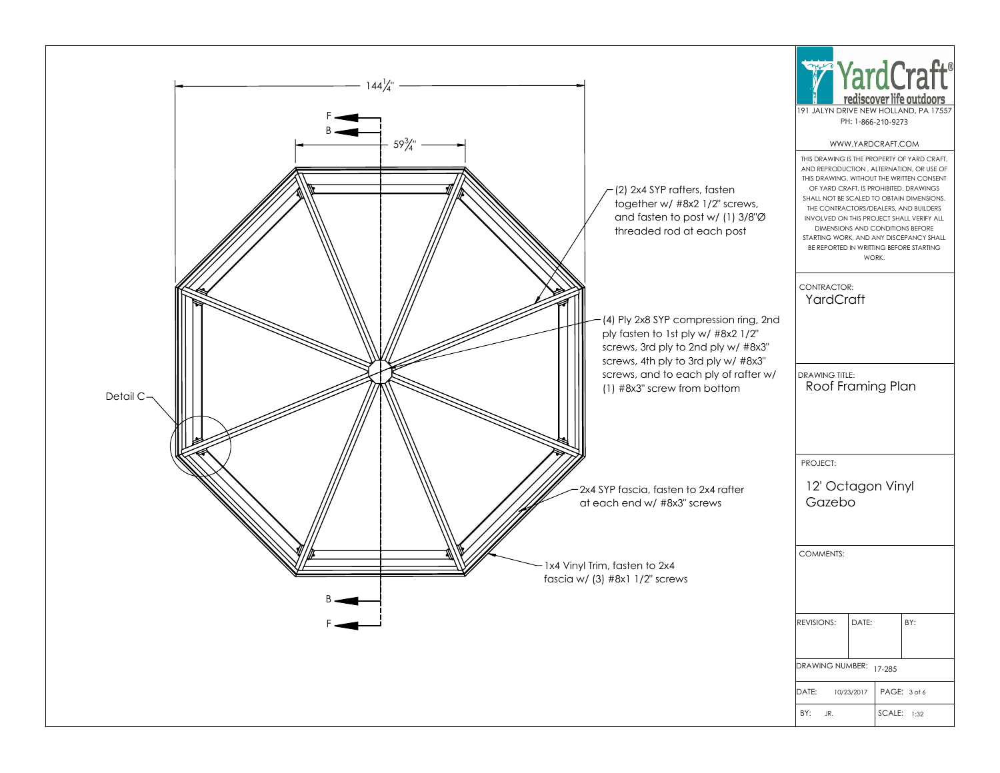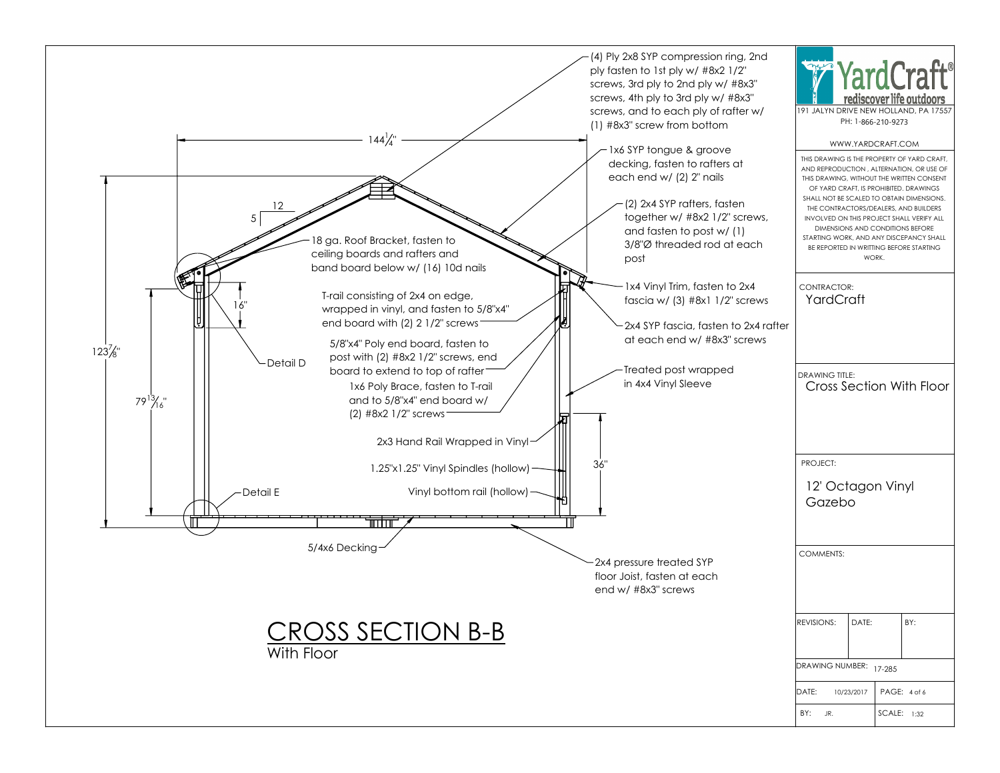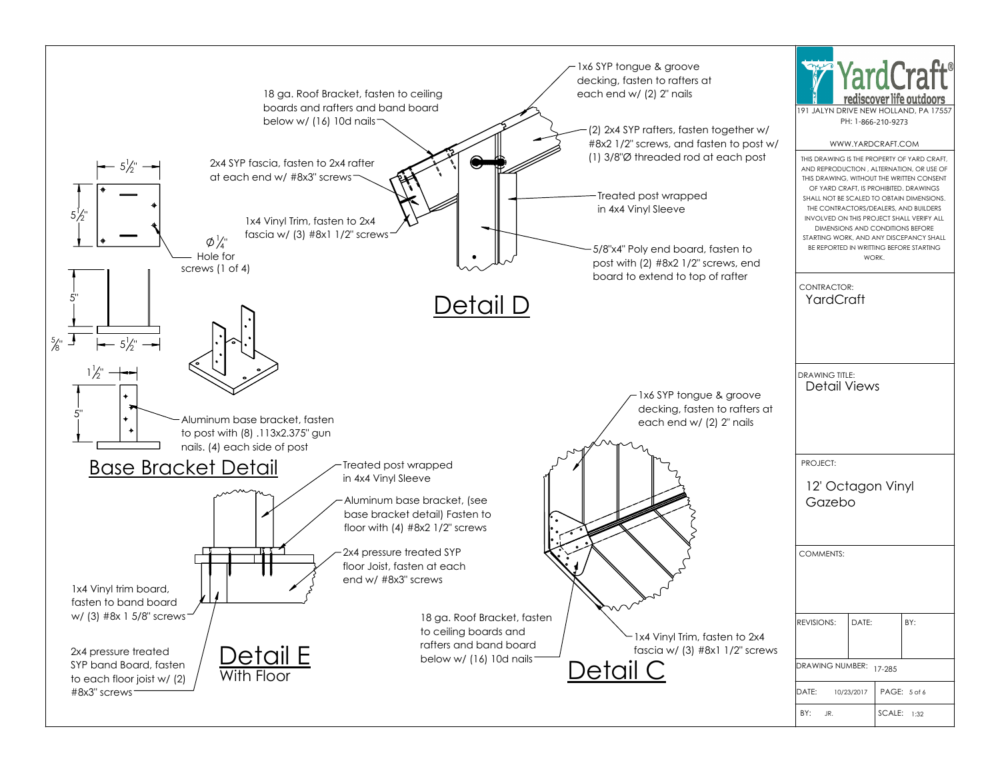